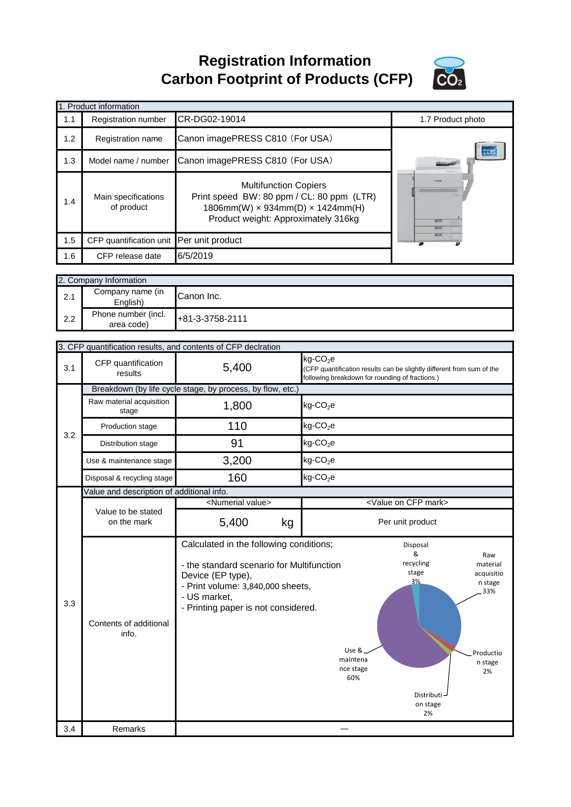**Registration Information Carbon Footprint of Products (CFP)**



|     | 1. Product information            |                                                                                                                                                      |                                                                            |                                                                       |  |
|-----|-----------------------------------|------------------------------------------------------------------------------------------------------------------------------------------------------|----------------------------------------------------------------------------|-----------------------------------------------------------------------|--|
| 1.1 | Registration number               | CR-DG02-19014                                                                                                                                        |                                                                            | 1.7 Product photo                                                     |  |
| 1.2 | Registration name                 | Canon imagePRESS C810 (For USA)                                                                                                                      |                                                                            |                                                                       |  |
| 1.3 | Model name / number               | Canon imagePRESS C810 (For USA)                                                                                                                      |                                                                            |                                                                       |  |
| 1.4 | Main specifications<br>of product | <b>Multifunction Copiers</b><br>Print speed BW: 80 ppm / CL: 80 ppm (LTR)<br>1806mm(W) x 934mm(D) x 1424mm(H)<br>Product weight: Approximately 316kg |                                                                            |                                                                       |  |
| 1.5 | CFP quantification unit           | Per unit product                                                                                                                                     |                                                                            |                                                                       |  |
| 1.6 | CFP release date                  | 6/5/2019                                                                                                                                             |                                                                            |                                                                       |  |
|     | 2. Company Information            |                                                                                                                                                      |                                                                            |                                                                       |  |
| 2.1 | Company name (in<br>English)      | Canon Inc.                                                                                                                                           |                                                                            |                                                                       |  |
| 2.2 | Phone number (incl.<br>area code) | +81-3-3758-2111                                                                                                                                      |                                                                            |                                                                       |  |
|     |                                   | 3. CFP quantification results, and contents of CFP declration                                                                                        |                                                                            |                                                                       |  |
| 3.1 | CFP quantification<br>results     | 5,400                                                                                                                                                | $kg$ -CO <sub>2</sub> e<br>following breakdown for rounding of fractions.) | (CFP quantification results can be slightly different from sum of the |  |
|     |                                   | Breakdown (by life cycle stage, by process, by flow, etc.)                                                                                           |                                                                            |                                                                       |  |
|     | Raw material acquisition<br>stage | 1,800                                                                                                                                                | $kg$ -CO <sub>2</sub> e                                                    |                                                                       |  |

|     | stage                                     | ,,,,,                                                                                                                                                                                                 | .9 = = z =                            |                                                                               |                                                                               |
|-----|-------------------------------------------|-------------------------------------------------------------------------------------------------------------------------------------------------------------------------------------------------------|---------------------------------------|-------------------------------------------------------------------------------|-------------------------------------------------------------------------------|
| 3.2 | Production stage                          | 110                                                                                                                                                                                                   | $kg$ -CO <sub>2</sub> e               |                                                                               |                                                                               |
|     | Distribution stage                        | 91                                                                                                                                                                                                    | $kg$ -CO <sub>2</sub> e               |                                                                               |                                                                               |
|     | Use & maintenance stage                   | 3,200                                                                                                                                                                                                 | $kg$ -CO <sub>2</sub> e               |                                                                               |                                                                               |
|     | Disposal & recycling stage                | 160                                                                                                                                                                                                   | $kg$ -CO <sub>2</sub> e               |                                                                               |                                                                               |
|     | Value and description of additional info. |                                                                                                                                                                                                       |                                       |                                                                               |                                                                               |
|     |                                           | <numerial value=""></numerial>                                                                                                                                                                        |                                       | <value cfp="" mark="" on=""></value>                                          |                                                                               |
|     | Value to be stated<br>on the mark         | 5,400<br>kg                                                                                                                                                                                           |                                       | Per unit product                                                              |                                                                               |
| 3.3 | Contents of additional<br>info.           | Calculated in the following conditions;<br>- the standard scenario for Multifunction<br>Device (EP type),<br>- Print volume: 3,840,000 sheets,<br>- US market,<br>- Printing paper is not considered. | Use &<br>maintena<br>nce stage<br>60% | Disposal<br>&<br>recycling<br>stage<br>3%<br>Distributi $-$<br>on stage<br>2% | Raw<br>material<br>acquisitio<br>n stage<br>33%<br>Productio<br>n stage<br>2% |
| 3.4 | Remarks                                   |                                                                                                                                                                                                       |                                       |                                                                               |                                                                               |